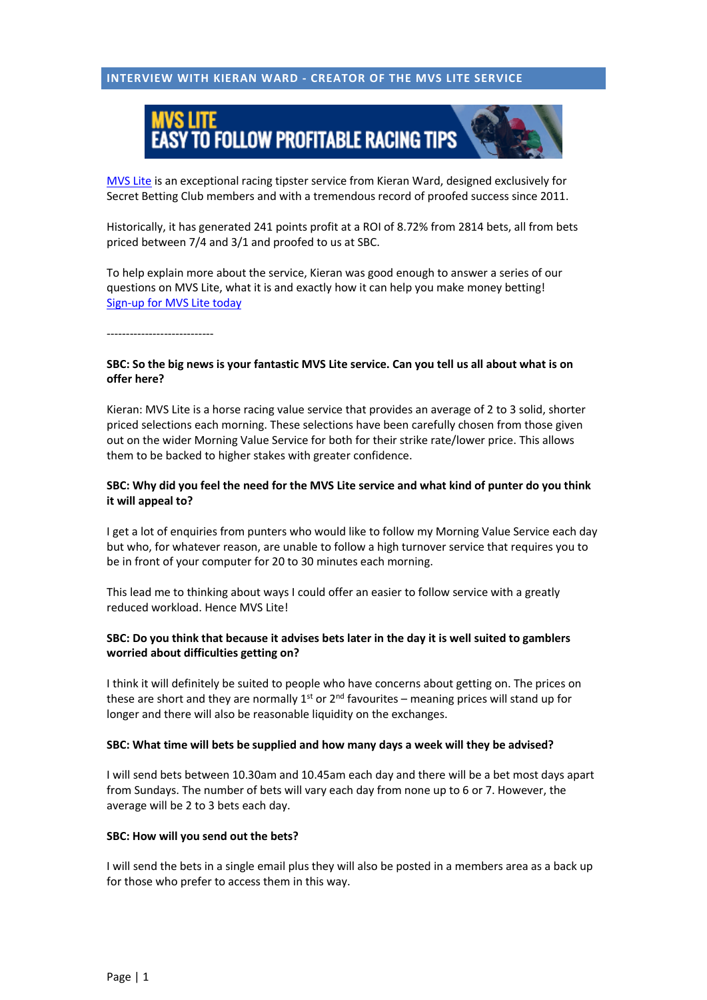# **INTERVIEW WITH KIERAN WARD - CREATOR OF THE MVS LITE SERVICE**



[MVS Lite](http://secretbettingclub.com/morning-value-lite/) is an exceptional racing tipster service from Kieran Ward, designed exclusively for Secret Betting Club members and with a tremendous record of proofed success since 2011.

Historically, it has generated 241 points profit at a ROI of 8.72% from 2814 bets, all from bets priced between 7/4 and 3/1 and proofed to us at SBC.

To help explain more about the service, Kieran was good enough to answer a series of our questions on MVS Lite, what it is and exactly how it can help you make money betting! [Sign-up for MVS Lite today](http://secretbettingclub.com/morning-value-lite/)

----------------------------

#### **SBC: So the big news is your fantastic MVS Lite service. Can you tell us all about what is on offer here?**

Kieran: MVS Lite is a horse racing value service that provides an average of 2 to 3 solid, shorter priced selections each morning. These selections have been carefully chosen from those given out on the wider Morning Value Service for both for their strike rate/lower price. This allows them to be backed to higher stakes with greater confidence.

### **SBC: Why did you feel the need for the MVS Lite service and what kind of punter do you think it will appeal to?**

I get a lot of enquiries from punters who would like to follow my Morning Value Service each day but who, for whatever reason, are unable to follow a high turnover service that requires you to be in front of your computer for 20 to 30 minutes each morning.

This lead me to thinking about ways I could offer an easier to follow service with a greatly reduced workload. Hence MVS Lite!

## **SBC: Do you think that because it advises bets later in the day it is well suited to gamblers worried about difficulties getting on?**

I think it will definitely be suited to people who have concerns about getting on. The prices on these are short and they are normally  $1<sup>st</sup>$  or  $2<sup>nd</sup>$  favourites – meaning prices will stand up for longer and there will also be reasonable liquidity on the exchanges.

#### **SBC: What time will bets be supplied and how many days a week will they be advised?**

I will send bets between 10.30am and 10.45am each day and there will be a bet most days apart from Sundays. The number of bets will vary each day from none up to 6 or 7. However, the average will be 2 to 3 bets each day.

#### **SBC: How will you send out the bets?**

I will send the bets in a single email plus they will also be posted in a members area as a back up for those who prefer to access them in this way.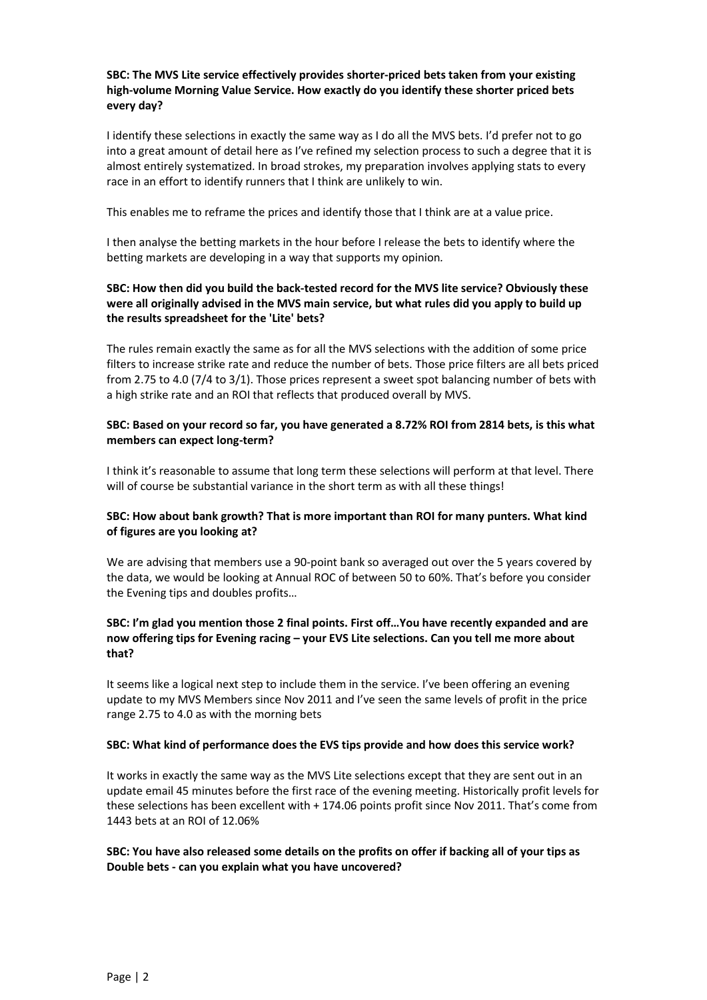## **SBC: The MVS Lite service effectively provides shorter-priced bets taken from your existing high-volume Morning Value Service. How exactly do you identify these shorter priced bets every day?**

I identify these selections in exactly the same way as I do all the MVS bets. I'd prefer not to go into a great amount of detail here as I've refined my selection process to such a degree that it is almost entirely systematized. In broad strokes, my preparation involves applying stats to every race in an effort to identify runners that I think are unlikely to win.

This enables me to reframe the prices and identify those that I think are at a value price.

I then analyse the betting markets in the hour before I release the bets to identify where the betting markets are developing in a way that supports my opinion*.* 

# **SBC: How then did you build the back-tested record for the MVS lite service? Obviously these were all originally advised in the MVS main service, but what rules did you apply to build up the results spreadsheet for the 'Lite' bets?**

The rules remain exactly the same as for all the MVS selections with the addition of some price filters to increase strike rate and reduce the number of bets. Those price filters are all bets priced from 2.75 to 4.0 (7/4 to 3/1). Those prices represent a sweet spot balancing number of bets with a high strike rate and an ROI that reflects that produced overall by MVS.

## **SBC: Based on your record so far, you have generated a 8.72% ROI from 2814 bets, is this what members can expect long-term?**

I think it's reasonable to assume that long term these selections will perform at that level. There will of course be substantial variance in the short term as with all these things!

# **SBC: How about bank growth? That is more important than ROI for many punters. What kind of figures are you looking at?**

We are advising that members use a 90-point bank so averaged out over the 5 years covered by the data, we would be looking at Annual ROC of between 50 to 60%. That's before you consider the Evening tips and doubles profits…

## **SBC: I'm glad you mention those 2 final points. First off…You have recently expanded and are now offering tips for Evening racing – your EVS Lite selections. Can you tell me more about that?**

It seems like a logical next step to include them in the service. I've been offering an evening update to my MVS Members since Nov 2011 and I've seen the same levels of profit in the price range 2.75 to 4.0 as with the morning bets

## **SBC: What kind of performance does the EVS tips provide and how does this service work?**

It works in exactly the same way as the MVS Lite selections except that they are sent out in an update email 45 minutes before the first race of the evening meeting. Historically profit levels for these selections has been excellent with + 174.06 points profit since Nov 2011. That's come from 1443 bets at an ROI of 12.06%

# **SBC: You have also released some details on the profits on offer if backing all of your tips as Double bets - can you explain what you have uncovered?**